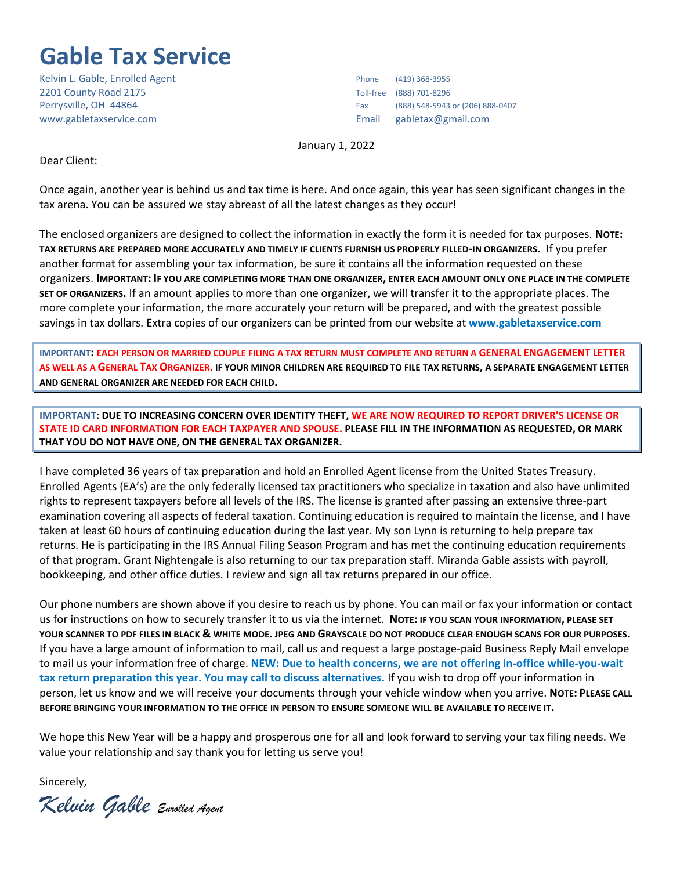## **Gable Tax Service**

Kelvin L. Gable, Enrolled Agent Phone (419) 368-3955 2201 County Road 2175 Toll-free (888) 701-8296 www.gabletaxservice.com Email gabletax@gmail.com

Perrysville, OH 44864 Fax (888) 548-5943 or (206) 888-0407

January 1, 2022

Dear Client:

Once again, another year is behind us and tax time is here. And once again, this year has seen significant changes in the tax arena. You can be assured we stay abreast of all the latest changes as they occur!

The enclosed organizers are designed to collect the information in exactly the form it is needed for tax purposes. **NOTE: TAX RETURNS ARE PREPARED MORE ACCURATELY AND TIMELY IF CLIENTS FURNISH US PROPERLY FILLED-IN ORGANIZERS.** If you prefer another format for assembling your tax information, be sure it contains all the information requested on these organizers. **IMPORTANT: IF YOU ARE COMPLETING MORE THAN ONE ORGANIZER, ENTER EACH AMOUNT ONLY ONE PLACE IN THE COMPLETE SET OF ORGANIZERS.** If an amount applies to more than one organizer, we will transfer it to the appropriate places. The more complete your information, the more accurately your return will be prepared, and with the greatest possible savings in tax dollars. Extra copies of our organizers can be printed from our website at **www.gabletaxservice.com**

**IMPORTANT: EACH PERSON OR MARRIED COUPLE FILING A TAX RETURN MUST COMPLETE AND RETURN A GENERAL ENGAGEMENT LETTER AS WELL AS A GENERAL TAX ORGANIZER. IF YOUR MINOR CHILDREN ARE REQUIRED TO FILE TAX RETURNS, A SEPARATE ENGAGEMENT LETTER AND GENERAL ORGANIZER ARE NEEDED FOR EACH CHILD.**

**IMPORTANT: DUE TO INCREASING CONCERN OVER IDENTITY THEFT, WE ARE NOW REQUIRED TO REPORT DRIVER'S LICENSE OR STATE ID CARD INFORMATION FOR EACH TAXPAYER AND SPOUSE. PLEASE FILL IN THE INFORMATION AS REQUESTED, OR MARK THAT YOU DO NOT HAVE ONE, ON THE GENERAL TAX ORGANIZER.**

I have completed 36 years of tax preparation and hold an Enrolled Agent license from the United States Treasury. Enrolled Agents (EA's) are the only federally licensed tax practitioners who specialize in taxation and also have unlimited rights to represent taxpayers before all levels of the IRS. The license is granted after passing an extensive three-part examination covering all aspects of federal taxation. Continuing education is required to maintain the license, and I have taken at least 60 hours of continuing education during the last year. My son Lynn is returning to help prepare tax returns. He is participating in the IRS Annual Filing Season Program and has met the continuing education requirements of that program. Grant Nightengale is also returning to our tax preparation staff. Miranda Gable assists with payroll, bookkeeping, and other office duties. I review and sign all tax returns prepared in our office.

Our phone numbers are shown above if you desire to reach us by phone. You can mail or fax your information or contact us for instructions on how to securely transfer it to us via the internet. **NOTE: IF YOU SCAN YOUR INFORMATION, PLEASE SET YOUR SCANNER TO PDF FILES IN BLACK & WHITE MODE. JPEG AND GRAYSCALE DO NOT PRODUCE CLEAR ENOUGH SCANS FOR OUR PURPOSES.** If you have a large amount of information to mail, call us and request a large postage-paid Business Reply Mail envelope to mail us your information free of charge. **NEW: Due to health concerns, we are not offering in-office while-you-wait tax return preparation this year. You may call to discuss alternatives.** If you wish to drop off your information in person, let us know and we will receive your documents through your vehicle window when you arrive. **NOTE: PLEASE CALL BEFORE BRINGING YOUR INFORMATION TO THE OFFICE IN PERSON TO ENSURE SOMEONE WILL BE AVAILABLE TO RECEIVE IT.**

We hope this New Year will be a happy and prosperous one for all and look forward to serving your tax filing needs. We value your relationship and say thank you for letting us serve you!

Sincerely,

*Kelvin Gable Enrolled Agent*